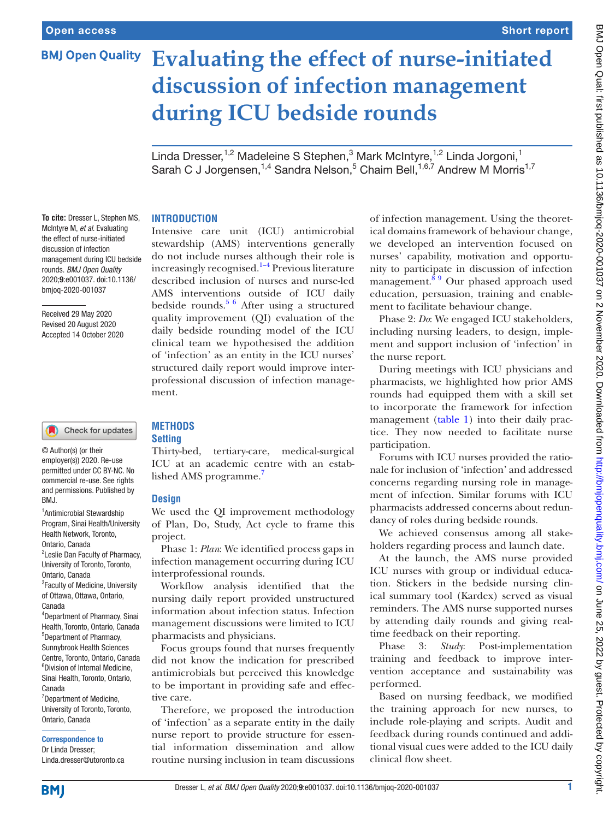# **BMJ Open Quality**

# **Evaluating the effect of nurse-initiated discussion of infection management during ICU bedside rounds**

Linda Dresser,<sup>1,2</sup> Madeleine S Stephen,<sup>3</sup> Mark McIntyre,<sup>1,2</sup> Linda Jorgoni,<sup>1</sup> Sarah C J Jorgensen,<sup>1,4</sup> Sandra Nelson,<sup>5</sup> Chaim Bell,<sup>1,6,7</sup> Andrew M Morris<sup>1,7</sup>

#### **INTRODUCTION**

**To cite:** Dresser L, Stephen MS, McIntyre M, *et al*. Evaluating the effect of nurse-initiated discussion of infection management during ICU bedside rounds. *BMJ Open Quality* 2020;9:e001037. doi:10.1136/ bmjoq-2020-001037

Received 29 May 2020 Revised 20 August 2020 Accepted 14 October 2020

# Check for updates

© Author(s) (or their employer(s)) 2020. Re-use permitted under CC BY-NC. No commercial re-use. See rights and permissions. Published by BMJ.

1 Antimicrobial Stewardship Program, Sinai Health/University Health Network, Toronto, Ontario, Canada <sup>2</sup> Leslie Dan Faculty of Pharmacy, University of Toronto, Toronto, Ontario, Canada <sup>3</sup>Faculty of Medicine, University of Ottawa, Ottawa, Ontario, Canada 4 Department of Pharmacy, Sinai

Health, Toronto, Ontario, Canada 5 Department of Pharmacy, Sunnybrook Health Sciences Centre, Toronto, Ontario, Canada 6 Division of Internal Medicine, Sinai Health, Toronto, Ontario, Canada <sup>7</sup>Department of Medicine,

University of Toronto, Toronto, Ontario, Canada

#### Correspondence to

Dr Linda Dresser; Linda.dresser@utoronto.ca

Intensive care unit (ICU) antimicrobial stewardship (AMS) interventions generally do not include nurses although their role is increasingly recognised. $1-4$  Previous literature described inclusion of nurses and nurse-led AMS interventions outside of ICU daily bedside rounds. $5/6$  After using a structured quality improvement (QI) evaluation of the daily bedside rounding model of the ICU clinical team we hypothesised the addition of 'infection' as an entity in the ICU nurses' structured daily report would improve interprofessional discussion of infection management.

### **METHODS Setting**

Thirty-bed, tertiary-care, medical-surgical ICU at an academic centre with an estab-lished AMS programme.<sup>[7](#page-2-2)</sup>

# **Design**

We used the QI improvement methodology of Plan, Do, Study, Act cycle to frame this project.

Phase 1: *Plan*: We identified process gaps in infection management occurring during ICU interprofessional rounds.

Workflow analysis identified that the nursing daily report provided unstructured information about infection status. Infection management discussions were limited to ICU pharmacists and physicians.

Focus groups found that nurses frequently did not know the indication for prescribed antimicrobials but perceived this knowledge to be important in providing safe and effective care.

Therefore, we proposed the introduction of 'infection' as a separate entity in the daily nurse report to provide structure for essential information dissemination and allow routine nursing inclusion in team discussions

of infection management. Using the theoretical domains framework of behaviour change, we developed an intervention focused on nurses' capability, motivation and opportunity to participate in discussion of infection management.<sup>8 9</sup> Our phased approach used education, persuasion, training and enablement to facilitate behaviour change.

Phase 2: *Do*: We engaged ICU stakeholders, including nursing leaders, to design, implement and support inclusion of 'infection' in the nurse report.

During meetings with ICU physicians and pharmacists, we highlighted how prior AMS rounds had equipped them with a skill set to incorporate the framework for infection management ([table](#page-1-0) 1) into their daily practice. They now needed to facilitate nurse participation.

Forums with ICU nurses provided the rationale for inclusion of 'infection' and addressed concerns regarding nursing role in management of infection. Similar forums with ICU pharmacists addressed concerns about redundancy of roles during bedside rounds.

We achieved consensus among all stakeholders regarding process and launch date.

At the launch, the AMS nurse provided ICU nurses with group or individual education. Stickers in the bedside nursing clinical summary tool (Kardex) served as visual reminders. The AMS nurse supported nurses by attending daily rounds and giving realtime feedback on their reporting.

Phase 3: *Study*: Post-implementation training and feedback to improve intervention acceptance and sustainability was performed.

Based on nursing feedback, we modified the training approach for new nurses, to include role-playing and scripts. Audit and feedback during rounds continued and additional visual cues were added to the ICU daily clinical flow sheet.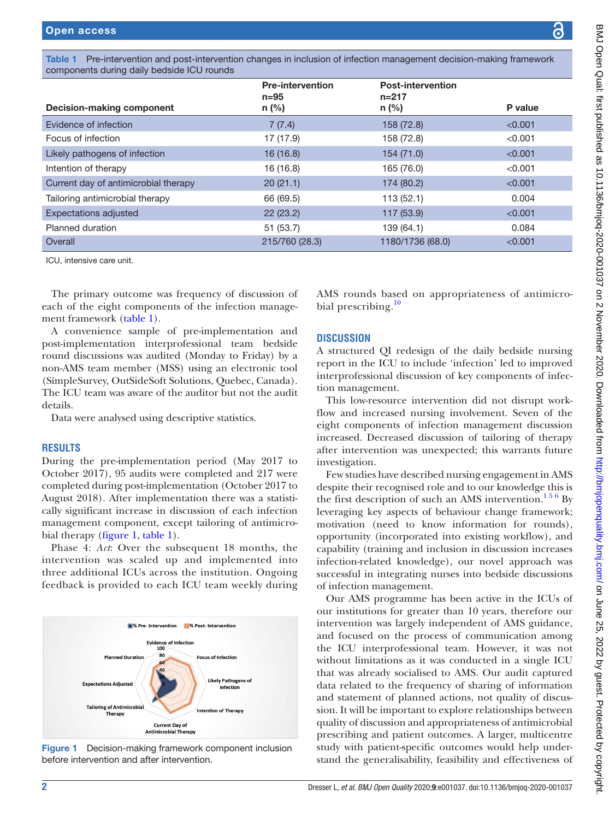BMJ Open Qual: first published as 10.1136/bmjoq-2020-001037 on 2 November 2020. Downloaded from http://bmjopenquality.bmj.com/ on June 25, 2022 by guest. Protected by copyright. BMJ Open Qual: first published as 10.1136/bmjoq-2020-001037 on 2 November 2020. Downloaded from Amid: bmj.com/ on June 25, 2022 by guest. Protected by copyright.

<span id="page-1-0"></span>Table 1 Pre-intervention and post-intervention changes in inclusion of infection management decision-making framework components during daily bedside ICU rounds

|                                      | <b>Pre-intervention</b><br>$n = 95$ | <b>Post-intervention</b><br>$n = 217$ |         |
|--------------------------------------|-------------------------------------|---------------------------------------|---------|
| Decision-making component            | n (%)                               | n (%)                                 | P value |
| Evidence of infection                | 7(7.4)                              | 158 (72.8)                            | < 0.001 |
| Focus of infection                   | 17 (17.9)                           | 158 (72.8)                            | < 0.001 |
| Likely pathogens of infection        | 16(16.8)                            | 154 (71.0)                            | < 0.001 |
| Intention of therapy                 | 16 (16.8)                           | 165 (76.0)                            | < 0.001 |
| Current day of antimicrobial therapy | 20(21.1)                            | 174 (80.2)                            | < 0.001 |
| Tailoring antimicrobial therapy      | 66 (69.5)                           | 113(52.1)                             | 0.004   |
| Expectations adjusted                | 22(23.2)                            | 117 (53.9)                            | < 0.001 |
| Planned duration                     | 51(53.7)                            | 139 (64.1)                            | 0.084   |
| Overall                              | 215/760 (28.3)                      | 1180/1736 (68.0)                      | < 0.001 |

ICU, intensive care unit.

The primary outcome was frequency of discussion of each of the eight components of the infection management framework ([table](#page-1-0) 1).

A convenience sample of pre-implementation and post-implementation interprofessional team bedside round discussions was audited (Monday to Friday) by a non-AMS team member (MSS) using an electronic tool (SimpleSurvey, OutSideSoft Solutions, Quebec, Canada). The ICU team was aware of the auditor but not the audit details.

Data were analysed using descriptive statistics.

### **RESULTS**

During the pre-implementation period (May 2017 to October 2017), 95 audits were completed and 217 were completed during post-implementation (October 2017 to August 2018). After implementation there was a statistically significant increase in discussion of each infection management component, except tailoring of antimicrobial therapy [\(figure](#page-1-1) 1, [table](#page-1-0) 1).

Phase 4: *Act*: Over the subsequent 18 months, the intervention was scaled up and implemented into three additional ICUs across the institution. Ongoing feedback is provided to each ICU team weekly during



<span id="page-1-1"></span>Figure 1 Decision-making framework component inclusion before intervention and after intervention.

AMS rounds based on appropriateness of antimicro-bial prescribing.<sup>[10](#page-2-4)</sup>

# **DISCUSSION**

A structured QI redesign of the daily bedside nursing report in the ICU to include 'infection' led to improved interprofessional discussion of key components of infection management.

This low-resource intervention did not disrupt workflow and increased nursing involvement. Seven of the eight components of infection management discussion increased. Decreased discussion of tailoring of therapy after intervention was unexpected; this warrants future investigation.

Few studies have described nursing engagement in AMS despite their recognised role and to our knowledge this is the first description of such an AMS intervention.<sup>156</sup> By leveraging key aspects of behaviour change framework; motivation (need to know information for rounds), opportunity (incorporated into existing workflow), and capability (training and inclusion in discussion increases infection-related knowledge), our novel approach was successful in integrating nurses into bedside discussions of infection management.

Our AMS programme has been active in the ICUs of our institutions for greater than 10 years, therefore our intervention was largely independent of AMS guidance, and focused on the process of communication among the ICU interprofessional team. However, it was not without limitations as it was conducted in a single ICU that was already socialised to AMS. Our audit captured data related to the frequency of sharing of information and statement of planned actions, not quality of discussion. It will be important to explore relationships between quality of discussion and appropriateness of antimicrobial prescribing and patient outcomes. A larger, multicentre study with patient-specific outcomes would help understand the generalisability, feasibility and effectiveness of